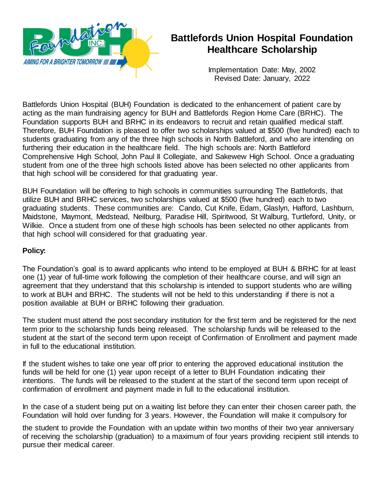

# **Battlefords Union Hospital Foundation Healthcare Scholarship**

Implementation Date: May, 2002 Revised Date: January, 2022

Battlefords Union Hospital (BUH) Foundation is dedicated to the enhancement of patient care by acting as the main fundraising agency for BUH and Battlefords Region Home Care (BRHC). The Foundation supports BUH and BRHC in its endeavors to recruit and retain qualified medical staff. Therefore, BUH Foundation is pleased to offer two scholarships valued at \$500 (five hundred) each to students graduating from any of the three high schools in North Battleford, and who are intending on furthering their education in the healthcare field. The high schools are: North Battleford Comprehensive High School, John Paul II Collegiate, and Sakewew High School. Once a graduating student from one of the three high schools listed above has been selected no other applicants from that high school will be considered for that graduating year.

BUH Foundation will be offering to high schools in communities surrounding The Battlefords, that utilize BUH and BRHC services, two scholarships valued at \$500 (five hundred) each to two graduating students. These communities are: Cando, Cut Knife, Edam, Glaslyn, Hafford, Lashburn, Maidstone, Maymont, Medstead, Neilburg, Paradise Hill, Spiritwood, St Walburg, Turtleford, Unity, or Wilkie. Once a student from one of these high schools has been selected no other applicants from that high school will considered for that graduating year.

### **Policy:**

The Foundation's goal is to award applicants who intend to be employed at BUH & BRHC for at least one (1) year of full-time work following the completion of their healthcare course, and will sign an agreement that they understand that this scholarship is intended to support students who are willing to work at BUH and BRHC. The students will not be held to this understanding if there is not a position available at BUH or BRHC following their graduation.

The student must attend the post secondary institution for the first term and be registered for the next term prior to the scholarship funds being released. The scholarship funds will be released to the student at the start of the second term upon receipt of Confirmation of Enrollment and payment made in full to the educational institution.

If the student wishes to take one year off prior to entering the approved educational institution the funds will be held for one (1) year upon receipt of a letter to BUH Foundation indicating their intentions. The funds will be released to the student at the start of the second term upon receipt of confirmation of enrollment and payment made in full to the educational institution.

In the case of a student being put on a waiting list before they can enter their chosen career path, the Foundation will hold over funding for 3 years. However, the Foundation will make it compulsory for

the student to provide the Foundation with an update within two months of their two year anniversary of receiving the scholarship (graduation) to a maximum of four years providing recipient still intends to pursue their medical career.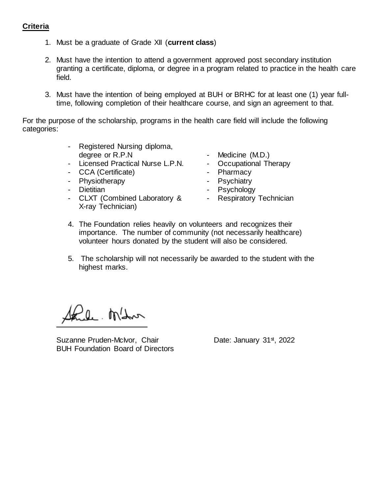### **Criteria**

- 1. Must be a graduate of Grade XII (**current class**)
- 2. Must have the intention to attend a government approved post secondary institution granting a certificate, diploma, or degree in a program related to practice in the health care field.
- 3. Must have the intention of being employed at BUH or BRHC for at least one (1) year fulltime, following completion of their healthcare course, and sign an agreement to that.

For the purpose of the scholarship, programs in the health care field will include the following categories:

- Registered Nursing diploma, degree or R.P.N
- Licensed Practical Nurse L.P.N.
- CCA (Certificate)
- Physiotherapy
- Dietitian
- CLXT (Combined Laboratory & Respiratory Technician X-ray Technician)
- Medicine (M.D.)
- Occupational Therapy
- Pharmacy
- Psychiatry
- Psychology
	-
- 4. The Foundation relies heavily on volunteers and recognizes their importance. The number of community (not necessarily healthcare) volunteer hours donated by the student will also be considered.
- 5. The scholarship will not necessarily be awarded to the student with the highest marks.

Paul Mahon

Suzanne Pruden-McIvor, Chair Date: January 31<sup>st</sup>, 2022 BUH Foundation Board of Directors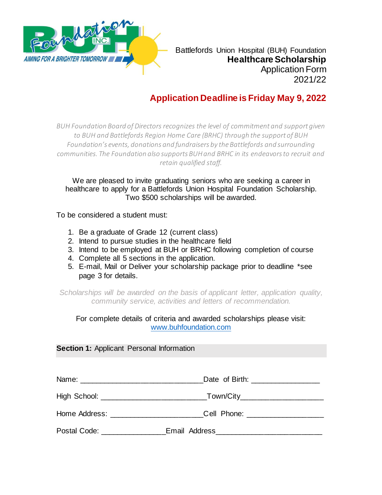

Battlefords Union Hospital (BUH) Foundation **Healthcare Scholarship** Application Form 2021/22

## **Application Deadline is Friday May 9, 2022**

*BUH Foundation Board of Directors recognizes the level of commitment and support given to BUH and Battlefords Region Home Care (BRHC) through the support of BUH Foundation's events, donations and fundraisers by the Battlefords and surrounding communities. The Foundation also supports BUH and BRHC in its endeavors to recruit and retain qualified staff.*

We are pleased to invite graduating seniors who are seeking a career in healthcare to apply for a Battlefords Union Hospital Foundation Scholarship. Two \$500 scholarships will be awarded.

To be considered a student must:

- 1. Be a graduate of Grade 12 (current class)
- 2. Intend to pursue studies in the healthcare field
- 3. Intend to be employed at BUH or BRHC following completion of course
- 4. Complete all 5 sections in the application.
- 5. E-mail, Mail or Deliver your scholarship package prior to deadline \*see page 3 for details.

*Scholarships will be awarded on the basis of applicant letter, application quality, community service, activities and letters of recommendation.*

### For complete details of criteria and awarded scholarships please visit: [www.buhfoundation.com](http://www.buhfoundation.com/)

#### **Section 1: Applicant Personal Information**

|                                      | Date of Birth: ____________________                                              |
|--------------------------------------|----------------------------------------------------------------------------------|
|                                      |                                                                                  |
|                                      | Home Address: ______________________________Cell Phone: ________________________ |
| Postal Code: <u>________________</u> | _Email Address______________________________                                     |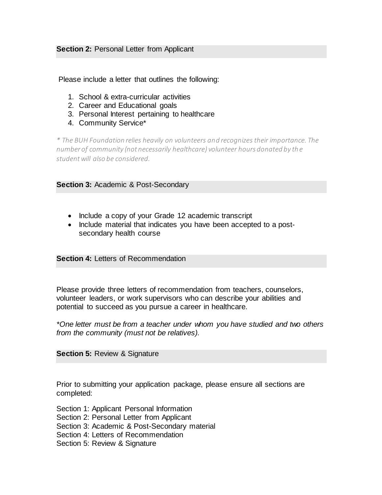#### **Section 2: Personal Letter from Applicant**

Please include a letter that outlines the following:

- 1. School & extra-curricular activities
- 2. Career and Educational goals
- 3. Personal Interest pertaining to healthcare
- 4. Community Service\*

*\* The BUH Foundation relies heavily on volunteers and recognizes their importance. The number of community (not necessarily healthcare) volunteer hours donated by the studentwill also be considered.*

#### **Section 3:** Academic & Post-Secondary

- Include a copy of your Grade 12 academic transcript
- Include material that indicates you have been accepted to a postsecondary health course

**Section 4: Letters of Recommendation** 

Please provide three letters of recommendation from teachers, counselors, volunteer leaders, or work supervisors who can describe your abilities and potential to succeed as you pursue a career in healthcare.

*\*One letter must be from a teacher under whom you have studied and two others from the community (must not be relatives).*

**Section 5:** Review & Signature

Prior to submitting your application package, please ensure all sections are completed:

- Section 1: Applicant Personal Information
- Section 2: Personal Letter from Applicant
- Section 3: Academic & Post-Secondary material
- Section 4: Letters of Recommendation
- Section 5: Review & Signature